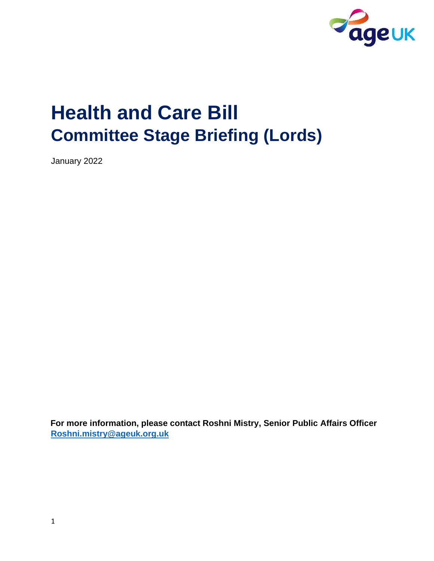

# **Health and Care Bill Committee Stage Briefing (Lords)**

January 2022

**For more information, please contact Roshni Mistry, Senior Public Affairs Officer Roshni.mistry@ageuk.org.uk**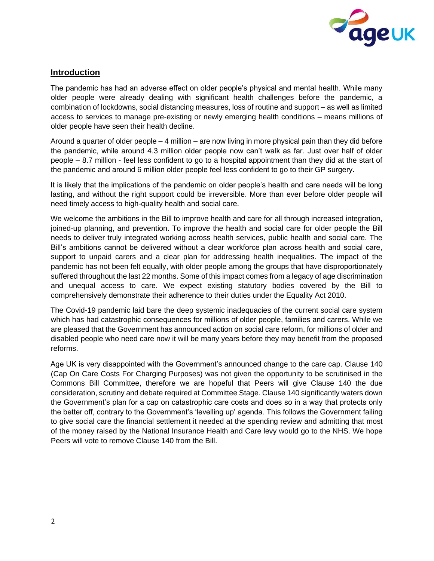

## **Introduction**

The pandemic has had an adverse effect on older people's physical and mental health. While many older people were already dealing with significant health challenges before the pandemic, a combination of lockdowns, social distancing measures, loss of routine and support – as well as limited access to services to manage pre-existing or newly emerging health conditions – means millions of older people have seen their health decline.

Around a quarter of older people – 4 million – are now living in more physical pain than they did before the pandemic, while around 4.3 million older people now can't walk as far. Just over half of older people – 8.7 million - feel less confident to go to a hospital appointment than they did at the start of the pandemic and around 6 million older people feel less confident to go to their GP surgery.

It is likely that the implications of the pandemic on older people's health and care needs will be long lasting, and without the right support could be irreversible. More than ever before older people will need timely access to high-quality health and social care.

We welcome the ambitions in the Bill to improve health and care for all through increased integration, joined-up planning, and prevention. To improve the health and social care for older people the Bill needs to deliver truly integrated working across health services, public health and social care. The Bill's ambitions cannot be delivered without a clear workforce plan across health and social care, support to unpaid carers and a clear plan for addressing health inequalities. The impact of the pandemic has not been felt equally, with older people among the groups that have disproportionately suffered throughout the last 22 months. Some of this impact comes from a legacy of age discrimination and unequal access to care. We expect existing statutory bodies covered by the Bill to comprehensively demonstrate their adherence to their duties under the Equality Act 2010.

The Covid-19 pandemic laid bare the deep systemic inadequacies of the current social care system which has had catastrophic consequences for millions of older people, families and carers. While we are pleased that the Government has announced action on social care reform, for millions of older and disabled people who need care now it will be many years before they may benefit from the proposed reforms.

Age UK is very disappointed with the Government's announced change to the care cap. Clause 140 (Cap On Care Costs For Charging Purposes) was not given the opportunity to be scrutinised in the Commons Bill Committee, therefore we are hopeful that Peers will give Clause 140 the due consideration, scrutiny and debate required at Committee Stage. Clause 140 significantly waters down the Government's plan for a cap on catastrophic care costs and does so in a way that protects only the better off, contrary to the Government's 'levelling up' agenda. This follows the Government failing to give social care the financial settlement it needed at the spending review and admitting that most of the money raised by the National Insurance Health and Care levy would go to the NHS. We hope Peers will vote to remove Clause 140 from the Bill.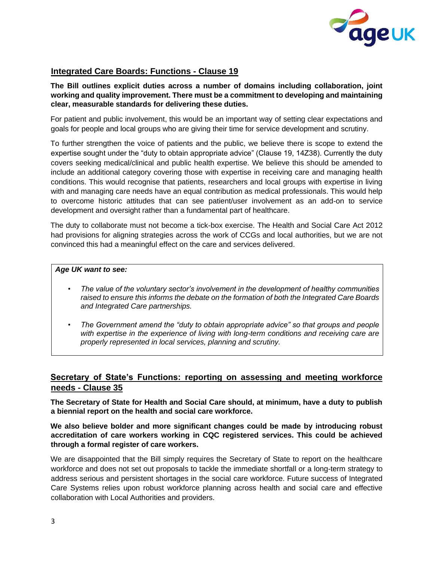

# **Integrated Care Boards: Functions - Clause 19**

**The Bill outlines explicit duties across a number of domains including collaboration, joint working and quality improvement. There must be a commitment to developing and maintaining clear, measurable standards for delivering these duties.** 

For patient and public involvement, this would be an important way of setting clear expectations and goals for people and local groups who are giving their time for service development and scrutiny.

To further strengthen the voice of patients and the public, we believe there is scope to extend the expertise sought under the "duty to obtain appropriate advice" (Clause 19, 14Z38). Currently the duty covers seeking medical/clinical and public health expertise. We believe this should be amended to include an additional category covering those with expertise in receiving care and managing health conditions. This would recognise that patients, researchers and local groups with expertise in living with and managing care needs have an equal contribution as medical professionals. This would help to overcome historic attitudes that can see patient/user involvement as an add-on to service development and oversight rather than a fundamental part of healthcare.

The duty to collaborate must not become a tick-box exercise. The Health and Social Care Act 2012 had provisions for aligning strategies across the work of CCGs and local authorities, but we are not convinced this had a meaningful effect on the care and services delivered.

#### *Age UK want to see:*

- *The value of the voluntary sector's involvement in the development of healthy communities raised to ensure this informs the debate on the formation of both the Integrated Care Boards and Integrated Care partnerships.*
- *The Government amend the "duty to obtain appropriate advice" so that groups and people with expertise in the experience of living with long-term conditions and receiving care are properly represented in local services, planning and scrutiny.*

# **Secretary of State's Functions: reporting on assessing and meeting workforce needs - Clause 35**

**The Secretary of State for Health and Social Care should, at minimum, have a duty to publish a biennial report on the health and social care workforce.** 

**We also believe bolder and more significant changes could be made by introducing robust accreditation of care workers working in CQC registered services. This could be achieved through a formal register of care workers.** 

We are disappointed that the Bill simply requires the Secretary of State to report on the healthcare workforce and does not set out proposals to tackle the immediate shortfall or a long-term strategy to address serious and persistent shortages in the social care workforce. Future success of Integrated Care Systems relies upon robust workforce planning across health and social care and effective collaboration with Local Authorities and providers.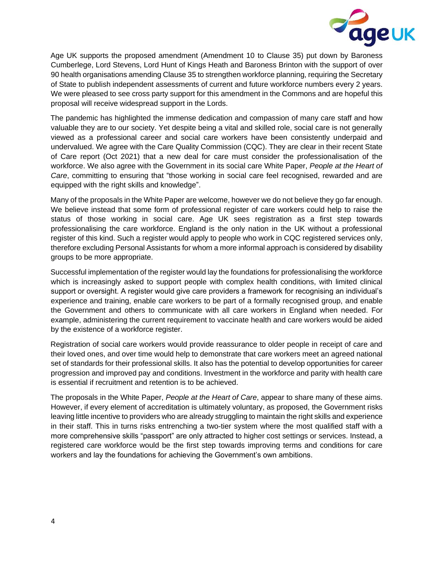

Age UK supports the proposed amendment (Amendment 10 to Clause 35) put down by Baroness Cumberlege, Lord Stevens, Lord Hunt of Kings Heath and Baroness Brinton with the support of over 90 health organisations amending Clause 35 to strengthen workforce planning, requiring the Secretary of State to publish independent assessments of current and future workforce numbers every 2 years. We were pleased to see cross party support for this amendment in the Commons and are hopeful this proposal will receive widespread support in the Lords.

The pandemic has highlighted the immense dedication and compassion of many care staff and how valuable they are to our society. Yet despite being a vital and skilled role, social care is not generally viewed as a professional career and social care workers have been consistently underpaid and undervalued. We agree with the Care Quality Commission (CQC). They are clear in their recent State of Care report (Oct 2021) that a new deal for care must consider the professionalisation of the workforce. We also agree with the Government in its social care White Paper, *People at the Heart of Care*, committing to ensuring that "those working in social care feel recognised, rewarded and are equipped with the right skills and knowledge".

Many of the proposals in the White Paper are welcome, however we do not believe they go far enough. We believe instead that some form of professional register of care workers could help to raise the status of those working in social care. Age UK sees registration as a first step towards professionalising the care workforce. England is the only nation in the UK without a professional register of this kind. Such a register would apply to people who work in CQC registered services only, therefore excluding Personal Assistants for whom a more informal approach is considered by disability groups to be more appropriate.

Successful implementation of the register would lay the foundations for professionalising the workforce which is increasingly asked to support people with complex health conditions, with limited clinical support or oversight. A register would give care providers a framework for recognising an individual's experience and training, enable care workers to be part of a formally recognised group, and enable the Government and others to communicate with all care workers in England when needed. For example, administering the current requirement to vaccinate health and care workers would be aided by the existence of a workforce register.

Registration of social care workers would provide reassurance to older people in receipt of care and their loved ones, and over time would help to demonstrate that care workers meet an agreed national set of standards for their professional skills. It also has the potential to develop opportunities for career progression and improved pay and conditions. Investment in the workforce and parity with health care is essential if recruitment and retention is to be achieved.

The proposals in the White Paper, *People at the Heart of Care*, appear to share many of these aims. However, if every element of accreditation is ultimately voluntary, as proposed, the Government risks leaving little incentive to providers who are already struggling to maintain the right skills and experience in their staff. This in turns risks entrenching a two-tier system where the most qualified staff with a more comprehensive skills "passport" are only attracted to higher cost settings or services. Instead, a registered care workforce would be the first step towards improving terms and conditions for care workers and lay the foundations for achieving the Government's own ambitions.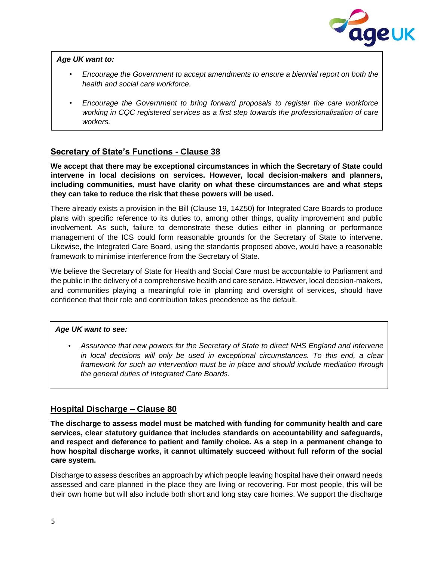

#### *Age UK want to:*

- *Encourage the Government to accept amendments to ensure a biennial report on both the health and social care workforce.*
- *Encourage the Government to bring forward proposals to register the care workforce working in CQC registered services as a first step towards the professionalisation of care workers.*

## **Secretary of State's Functions - Clause 38**

**We accept that there may be exceptional circumstances in which the Secretary of State could intervene in local decisions on services. However, local decision-makers and planners, including communities, must have clarity on what these circumstances are and what steps they can take to reduce the risk that these powers will be used.** 

There already exists a provision in the Bill (Clause 19, 14Z50) for Integrated Care Boards to produce plans with specific reference to its duties to, among other things, quality improvement and public involvement. As such, failure to demonstrate these duties either in planning or performance management of the ICS could form reasonable grounds for the Secretary of State to intervene. Likewise, the Integrated Care Board, using the standards proposed above, would have a reasonable framework to minimise interference from the Secretary of State.

We believe the Secretary of State for Health and Social Care must be accountable to Parliament and the public in the delivery of a comprehensive health and care service. However, local decision-makers, and communities playing a meaningful role in planning and oversight of services, should have confidence that their role and contribution takes precedence as the default.

#### *Age UK want to see:*

• *Assurance that new powers for the Secretary of State to direct NHS England and intervene in local decisions will only be used in exceptional circumstances. To this end, a clear framework for such an intervention must be in place and should include mediation through the general duties of Integrated Care Boards.* 

## **Hospital Discharge – Clause 80**

**The discharge to assess model must be matched with funding for community health and care services, clear statutory guidance that includes standards on accountability and safeguards, and respect and deference to patient and family choice. As a step in a permanent change to how hospital discharge works, it cannot ultimately succeed without full reform of the social care system.** 

Discharge to assess describes an approach by which people leaving hospital have their onward needs assessed and care planned in the place they are living or recovering. For most people, this will be their own home but will also include both short and long stay care homes. We support the discharge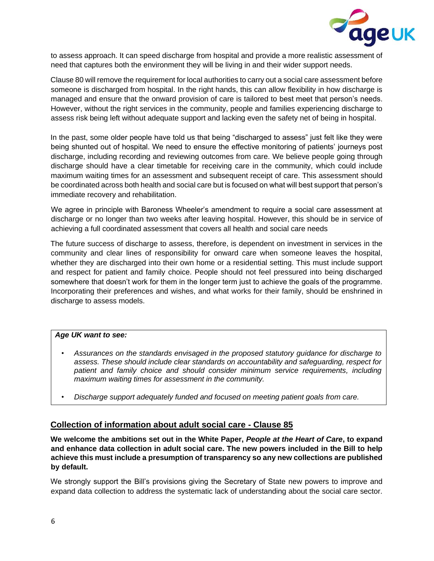

to assess approach. It can speed discharge from hospital and provide a more realistic assessment of need that captures both the environment they will be living in and their wider support needs.

Clause 80 will remove the requirement for local authorities to carry out a social care assessment before someone is discharged from hospital. In the right hands, this can allow flexibility in how discharge is managed and ensure that the onward provision of care is tailored to best meet that person's needs. However, without the right services in the community, people and families experiencing discharge to assess risk being left without adequate support and lacking even the safety net of being in hospital.

In the past, some older people have told us that being "discharged to assess" just felt like they were being shunted out of hospital. We need to ensure the effective monitoring of patients' journeys post discharge, including recording and reviewing outcomes from care. We believe people going through discharge should have a clear timetable for receiving care in the community, which could include maximum waiting times for an assessment and subsequent receipt of care. This assessment should be coordinated across both health and social care but is focused on what will best support that person's immediate recovery and rehabilitation.

We agree in principle with Baroness Wheeler's amendment to require a social care assessment at discharge or no longer than two weeks after leaving hospital. However, this should be in service of achieving a full coordinated assessment that covers all health and social care needs

The future success of discharge to assess, therefore, is dependent on investment in services in the community and clear lines of responsibility for onward care when someone leaves the hospital, whether they are discharged into their own home or a residential setting. This must include support and respect for patient and family choice. People should not feel pressured into being discharged somewhere that doesn't work for them in the longer term just to achieve the goals of the programme. Incorporating their preferences and wishes, and what works for their family, should be enshrined in discharge to assess models.

#### *Age UK want to see:*

- *Assurances on the standards envisaged in the proposed statutory guidance for discharge to assess. These should include clear standards on accountability and safeguarding, respect for patient and family choice and should consider minimum service requirements, including maximum waiting times for assessment in the community.*
- *Discharge support adequately funded and focused on meeting patient goals from care.*

## **Collection of information about adult social care - Clause 85**

**We welcome the ambitions set out in the White Paper,** *People at the Heart of Care***, to expand and enhance data collection in adult social care. The new powers included in the Bill to help achieve this must include a presumption of transparency so any new collections are published by default.** 

We strongly support the Bill's provisions giving the Secretary of State new powers to improve and expand data collection to address the systematic lack of understanding about the social care sector.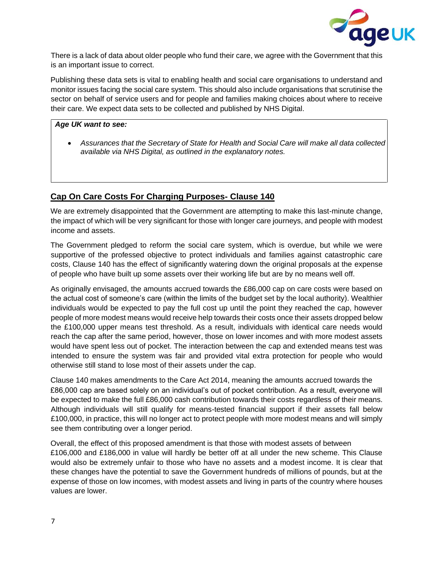

There is a lack of data about older people who fund their care, we agree with the Government that this is an important issue to correct.

Publishing these data sets is vital to enabling health and social care organisations to understand and monitor issues facing the social care system. This should also include organisations that scrutinise the sector on behalf of service users and for people and families making choices about where to receive their care. We expect data sets to be collected and published by NHS Digital.

#### *Age UK want to see:*

• *Assurances that the Secretary of State for Health and Social Care will make all data collected available via NHS Digital, as outlined in the explanatory notes.* 

# **Cap On Care Costs For Charging Purposes- Clause 140**

We are extremely disappointed that the Government are attempting to make this last-minute change, the impact of which will be very significant for those with longer care journeys, and people with modest income and assets.

The Government pledged to reform the social care system, which is overdue, but while we were supportive of the professed objective to protect individuals and families against catastrophic care costs, Clause 140 has the effect of significantly watering down the original proposals at the expense of people who have built up some assets over their working life but are by no means well off.

As originally envisaged, the amounts accrued towards the £86,000 cap on care costs were based on the actual cost of someone's care (within the limits of the budget set by the local authority). Wealthier individuals would be expected to pay the full cost up until the point they reached the cap, however people of more modest means would receive help towards their costs once their assets dropped below the £100,000 upper means test threshold. As a result, individuals with identical care needs would reach the cap after the same period, however, those on lower incomes and with more modest assets would have spent less out of pocket. The interaction between the cap and extended means test was intended to ensure the system was fair and provided vital extra protection for people who would otherwise still stand to lose most of their assets under the cap.

Clause 140 makes amendments to the Care Act 2014, meaning the amounts accrued towards the £86,000 cap are based solely on an individual's out of pocket contribution. As a result, everyone will be expected to make the full £86,000 cash contribution towards their costs regardless of their means. Although individuals will still qualify for means-tested financial support if their assets fall below £100,000, in practice, this will no longer act to protect people with more modest means and will simply see them contributing over a longer period.

Overall, the effect of this proposed amendment is that those with modest assets of between £106,000 and £186,000 in value will hardly be better off at all under the new scheme. This Clause would also be extremely unfair to those who have no assets and a modest income. It is clear that these changes have the potential to save the Government hundreds of millions of pounds, but at the expense of those on low incomes, with modest assets and living in parts of the country where houses values are lower.